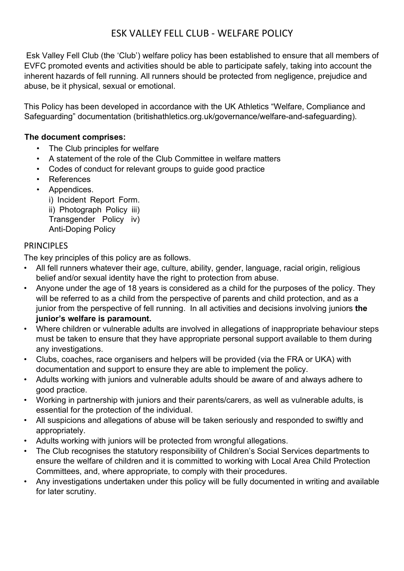# ESK VALLEY FELL CLUB - WELFARE POLICY

 Esk Valley Fell Club (the 'Club') welfare policy has been established to ensure that all members of EVFC promoted events and activities should be able to participate safely, taking into account the inherent hazards of fell running. All runners should be protected from negligence, prejudice and abuse, be it physical, sexual or emotional.

This Policy has been developed in accordance with the UK Athletics "Welfare, Compliance and Safeguarding" documentation (britishathletics.org.uk/governance/welfare-and-safeguarding).

#### The document comprises:

- The Club principles for welfare
- A statement of the role of the Club Committee in welfare matters
- Codes of conduct for relevant groups to guide good practice
- References
- Appendices.
	- i) Incident Report Form. ii) Photograph Policy iii) Transgender Policy iv) Anti-Doping Policy

#### PRINCIPI FS

The key principles of this policy are as follows.

- All fell runners whatever their age, culture, ability, gender, language, racial origin, religious belief and/or sexual identity have the right to protection from abuse.
- Anyone under the age of 18 years is considered as a child for the purposes of the policy. They will be referred to as a child from the perspective of parents and child protection, and as a junior from the perspective of fell running. In all activities and decisions involving juniors the junior's welfare is paramount.
- Where children or vulnerable adults are involved in allegations of inappropriate behaviour steps must be taken to ensure that they have appropriate personal support available to them during any investigations.
- Clubs, coaches, race organisers and helpers will be provided (via the FRA or UKA) with documentation and support to ensure they are able to implement the policy.
- Adults working with juniors and vulnerable adults should be aware of and always adhere to good practice.
- Working in partnership with juniors and their parents/carers, as well as vulnerable adults, is essential for the protection of the individual.
- All suspicions and allegations of abuse will be taken seriously and responded to swiftly and appropriately.
- Adults working with juniors will be protected from wrongful allegations.
- The Club recognises the statutory responsibility of Children's Social Services departments to ensure the welfare of children and it is committed to working with Local Area Child Protection Committees, and, where appropriate, to comply with their procedures.
- Any investigations undertaken under this policy will be fully documented in writing and available for later scrutiny.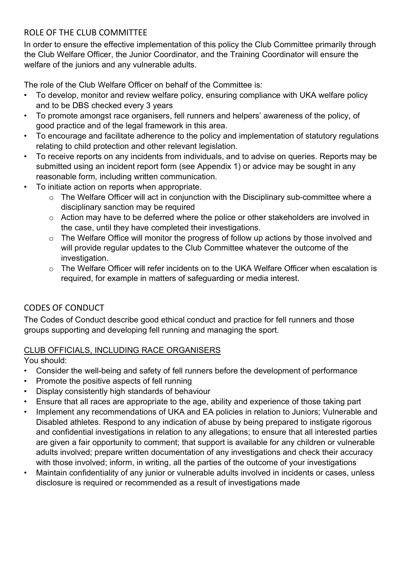#### ROLE OF THE CLUB COMMITTEE

In order to ensure the effective implementation of this policy the Club Committee primarily through the Club Welfare Officer, the Junior Coordinator, and the Training Coordinator will ensure the welfare of the juniors and any vulnerable adults.

The role of the Club Welfare Officer on behalf of the Committee is:

- To develop, monitor and review welfare policy, ensuring compliance with UKA welfare policy and to be DBS checked every 3 years
- To promote amongst race organisers, fell runners and helpers' awareness of the policy, of good practice and of the legal framework in this area.
- To encourage and facilitate adherence to the policy and implementation of statutory regulations relating to child protection and other relevant legislation.
- To receive reports on any incidents from individuals, and to advise on queries. Reports may be submitted using an incident report form (see Appendix 1) or advice may be sought in any reasonable form, including written communication.
- To initiate action on reports when appropriate.
	- o The Welfare Officer will act in conjunction with the Disciplinary sub-committee where a disciplinary sanction may be required
	- o Action may have to be deferred where the police or other stakeholders are involved in the case, until they have completed their investigations.
	- o The Welfare Office will monitor the progress of follow up actions by those involved and will provide regular updates to the Club Committee whatever the outcome of the investigation.
	- $\circ$  The Welfare Officer will refer incidents on to the UKA Welfare Officer when escalation is required, for example in matters of safeguarding or media interest.

# CODES OF CONDUCT

The Codes of Conduct describe good ethical conduct and practice for fell runners and those groups supporting and developing fell running and managing the sport.

## CLUB OFFICIALS, INCLUDING RACE ORGANISERS

You should:

- Consider the well-being and safety of fell runners before the development of performance
- Promote the positive aspects of fell running
- Display consistently high standards of behaviour
- Ensure that all races are appropriate to the age, ability and experience of those taking part
- Implement any recommendations of UKA and EA policies in relation to Juniors; Vulnerable and Disabled athletes. Respond to any indication of abuse by being prepared to instigate rigorous and confidential investigations in relation to any allegations; to ensure that all interested parties are given a fair opportunity to comment; that support is available for any children or vulnerable adults involved; prepare written documentation of any investigations and check their accuracy with those involved; inform, in writing, all the parties of the outcome of your investigations
- Maintain confidentiality of any junior or vulnerable adults involved in incidents or cases, unless disclosure is required or recommended as a result of investigations made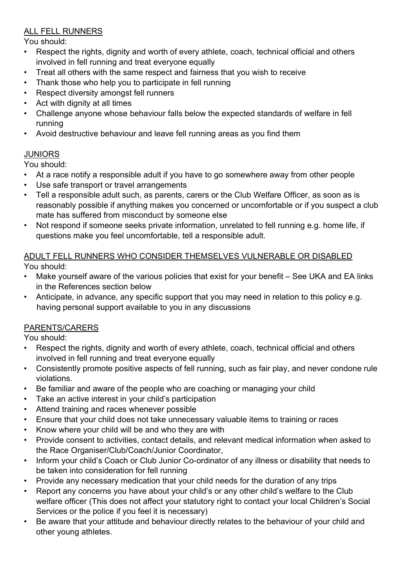#### ALL FELL RUNNERS

You should:

- Respect the rights, dignity and worth of every athlete, coach, technical official and others involved in fell running and treat everyone equally
- Treat all others with the same respect and fairness that you wish to receive
- Thank those who help you to participate in fell running
- Respect diversity amongst fell runners
- Act with dignity at all times
- Challenge anyone whose behaviour falls below the expected standards of welfare in fell running
- Avoid destructive behaviour and leave fell running areas as you find them

#### **JUNIORS**

You should:

- At a race notify a responsible adult if you have to go somewhere away from other people
- Use safe transport or travel arrangements
- Tell a responsible adult such, as parents, carers or the Club Welfare Officer, as soon as is reasonably possible if anything makes you concerned or uncomfortable or if you suspect a club mate has suffered from misconduct by someone else
- Not respond if someone seeks private information, unrelated to fell running e.g. home life, if questions make you feel uncomfortable, tell a responsible adult.

# ADULT FELL RUNNERS WHO CONSIDER THEMSELVES VULNERABLE OR DISABLED

You should:

- Make yourself aware of the various policies that exist for your benefit See UKA and EA links in the References section below
- Anticipate, in advance, any specific support that you may need in relation to this policy e.g. having personal support available to you in any discussions

## PARENTS/CARERS

You should:

- Respect the rights, dignity and worth of every athlete, coach, technical official and others involved in fell running and treat everyone equally
- Consistently promote positive aspects of fell running, such as fair play, and never condone rule violations.
- Be familiar and aware of the people who are coaching or managing your child
- Take an active interest in your child's participation
- Attend training and races whenever possible
- Ensure that your child does not take unnecessary valuable items to training or races
- Know where your child will be and who they are with
- Provide consent to activities, contact details, and relevant medical information when asked to the Race Organiser/Club/Coach/Junior Coordinator,
- Inform your child's Coach or Club Junior Co-ordinator of any illness or disability that needs to be taken into consideration for fell running
- Provide any necessary medication that your child needs for the duration of any trips
- Report any concerns you have about your child's or any other child's welfare to the Club welfare officer (This does not affect your statutory right to contact your local Children's Social Services or the police if you feel it is necessary)
- Be aware that your attitude and behaviour directly relates to the behaviour of your child and other young athletes.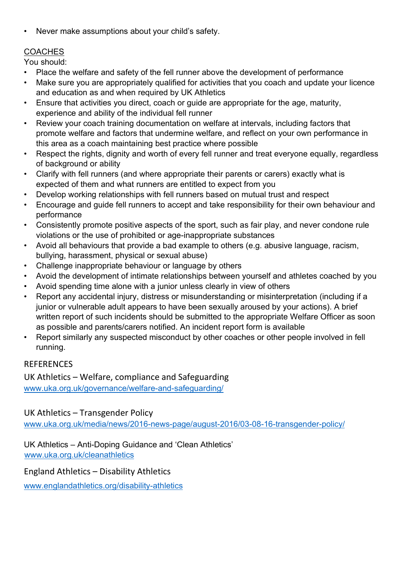• Never make assumptions about your child's safety.

#### **COACHES**

You should:

- Place the welfare and safety of the fell runner above the development of performance
- Make sure you are appropriately qualified for activities that you coach and update your licence and education as and when required by UK Athletics
- Ensure that activities you direct, coach or guide are appropriate for the age, maturity, experience and ability of the individual fell runner
- Review your coach training documentation on welfare at intervals, including factors that promote welfare and factors that undermine welfare, and reflect on your own performance in this area as a coach maintaining best practice where possible
- Respect the rights, dignity and worth of every fell runner and treat everyone equally, regardless of background or ability
- Clarify with fell runners (and where appropriate their parents or carers) exactly what is expected of them and what runners are entitled to expect from you
- Develop working relationships with fell runners based on mutual trust and respect
- Encourage and guide fell runners to accept and take responsibility for their own behaviour and performance
- Consistently promote positive aspects of the sport, such as fair play, and never condone rule violations or the use of prohibited or age-inappropriate substances
- Avoid all behaviours that provide a bad example to others (e.g. abusive language, racism, bullying, harassment, physical or sexual abuse)
- Challenge inappropriate behaviour or language by others
- Avoid the development of intimate relationships between yourself and athletes coached by you
- Avoid spending time alone with a junior unless clearly in view of others
- Report any accidental injury, distress or misunderstanding or misinterpretation (including if a junior or vulnerable adult appears to have been sexually aroused by your actions). A brief written report of such incidents should be submitted to the appropriate Welfare Officer as soon as possible and parents/carers notified. An incident report form is available
- Report similarly any suspected misconduct by other coaches or other people involved in fell running.

## **REFERENCES**

UK Athletics – Welfare, compliance and Safeguarding www.uka.org.uk/governance/welfare-and-safeguarding/

UK Athletics – Transgender Policy

www.uka.org.uk/media/news/2016-news-page/august-2016/03-08-16-transgender-policy/

UK Athletics – Anti-Doping Guidance and 'Clean Athletics' www.uka.org.uk/cleanathletics

England Athletics – Disability Athletics

www.englandathletics.org/disability-athletics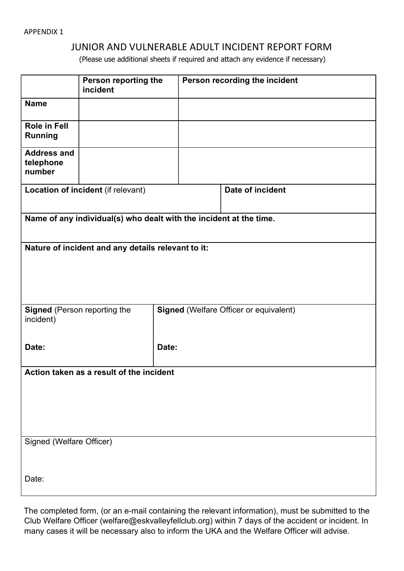#### APPENDIX 1

#### JUNIOR AND VULNERABLE ADULT INCIDENT REPORT FORM

(Please use additional sheets if required and attach any evidence if necessary)

|                                                                    | Person reporting the<br>incident |                                               | Person recording the incident |                  |  |
|--------------------------------------------------------------------|----------------------------------|-----------------------------------------------|-------------------------------|------------------|--|
| <b>Name</b>                                                        |                                  |                                               |                               |                  |  |
| <b>Role in Fell</b><br><b>Running</b>                              |                                  |                                               |                               |                  |  |
| <b>Address and</b><br>telephone<br>number                          |                                  |                                               |                               |                  |  |
| Location of incident (if relevant)                                 |                                  |                                               |                               | Date of incident |  |
| Name of any individual(s) who dealt with the incident at the time. |                                  |                                               |                               |                  |  |
| Nature of incident and any details relevant to it:                 |                                  |                                               |                               |                  |  |
| <b>Signed</b> (Person reporting the<br>incident)                   |                                  | <b>Signed (Welfare Officer or equivalent)</b> |                               |                  |  |
| Date:                                                              |                                  | Date:                                         |                               |                  |  |
| Action taken as a result of the incident                           |                                  |                                               |                               |                  |  |
|                                                                    |                                  |                                               |                               |                  |  |
| Signed (Welfare Officer)                                           |                                  |                                               |                               |                  |  |
| Date:                                                              |                                  |                                               |                               |                  |  |

The completed form, (or an e-mail containing the relevant information), must be submitted to the Club Welfare Officer (welfare@eskvalleyfellclub.org) within 7 days of the accident or incident. In many cases it will be necessary also to inform the UKA and the Welfare Officer will advise.